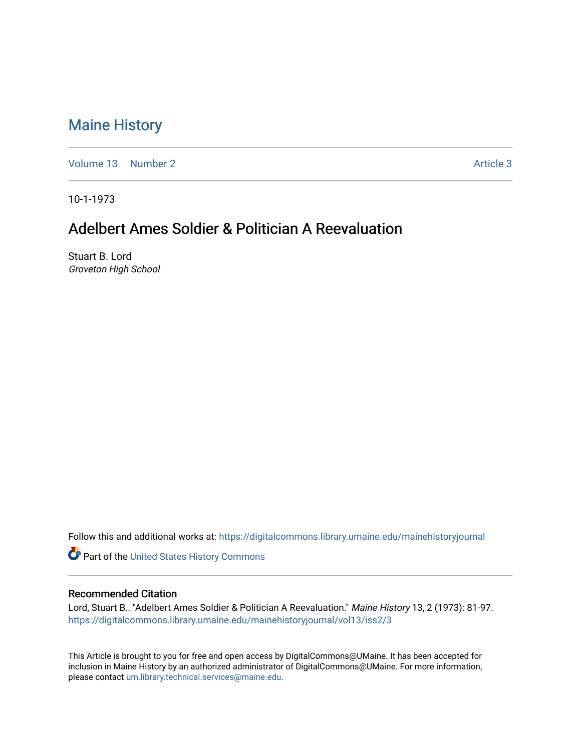## [Maine History](https://digitalcommons.library.umaine.edu/mainehistoryjournal)

[Volume 13](https://digitalcommons.library.umaine.edu/mainehistoryjournal/vol13) [Number 2](https://digitalcommons.library.umaine.edu/mainehistoryjournal/vol13/iss2) [Article 3](https://digitalcommons.library.umaine.edu/mainehistoryjournal/vol13/iss2/3) Article 3

10-1-1973

## Adelbert Ames Soldier & Politician A Reevaluation

Stuart B. Lord Groveton High School

Follow this and additional works at: [https://digitalcommons.library.umaine.edu/mainehistoryjournal](https://digitalcommons.library.umaine.edu/mainehistoryjournal?utm_source=digitalcommons.library.umaine.edu%2Fmainehistoryjournal%2Fvol13%2Fiss2%2F3&utm_medium=PDF&utm_campaign=PDFCoverPages) 

Part of the [United States History Commons](http://network.bepress.com/hgg/discipline/495?utm_source=digitalcommons.library.umaine.edu%2Fmainehistoryjournal%2Fvol13%2Fiss2%2F3&utm_medium=PDF&utm_campaign=PDFCoverPages) 

## Recommended Citation

Lord, Stuart B.. "Adelbert Ames Soldier & Politician A Reevaluation." Maine History 13, 2 (1973): 81-97. [https://digitalcommons.library.umaine.edu/mainehistoryjournal/vol13/iss2/3](https://digitalcommons.library.umaine.edu/mainehistoryjournal/vol13/iss2/3?utm_source=digitalcommons.library.umaine.edu%2Fmainehistoryjournal%2Fvol13%2Fiss2%2F3&utm_medium=PDF&utm_campaign=PDFCoverPages)

This Article is brought to you for free and open access by DigitalCommons@UMaine. It has been accepted for inclusion in Maine History by an authorized administrator of DigitalCommons@UMaine. For more information, please contact [um.library.technical.services@maine.edu.](mailto:um.library.technical.services@maine.edu)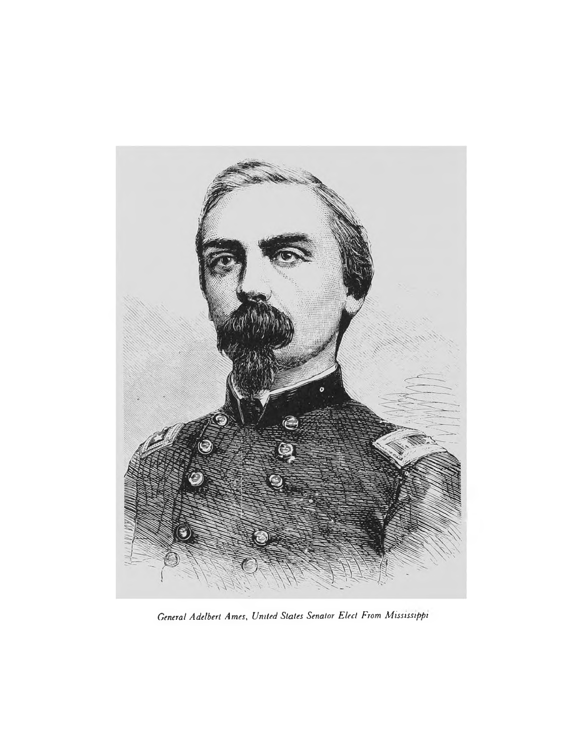

*General Adelbert Ames, United States Senator Elect From Mississippi*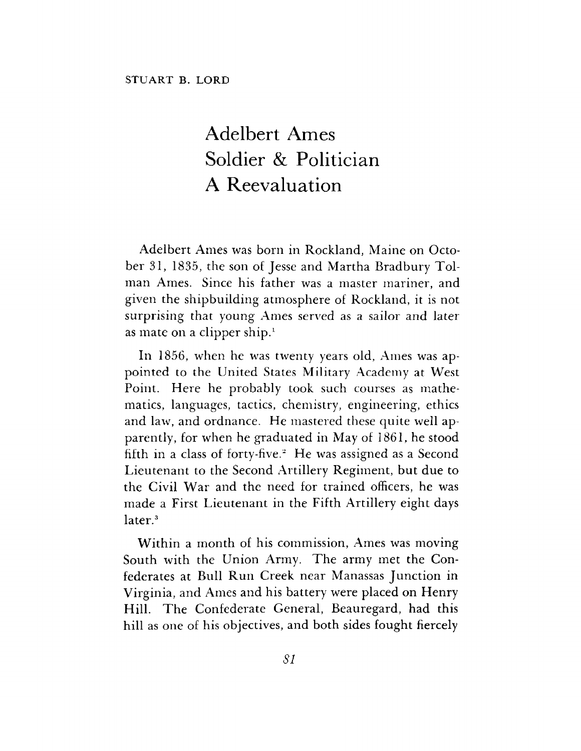## Adelbert Ames Soldier & Politician A Reevaluation

Adelbert Ames was born in Rockland, Maine on October 31, 1835, the son of Jesse and Martha Bradbury Tolman Ames. Since his father was a master mariner, and given the shipbuilding atmosphere of Rockland, it is not surprising that young Ames served as a sailor and later as mate on a clipper ship.<sup>1</sup>

In 1856, when he was twenty years old, Ames was appointed to the United States Military Academy at West Point. Here he probably took such courses as mathematics, languages, tactics, chemistry, engineering, ethics and law, and ordnance. He mastered these quite well apparently, for when he graduated in May of 1861, he stood fifth in a class of forty-five.<sup>2</sup> He was assigned as a Second Lieutenant to the Second Artillery Regiment, but due to the Civil War and the need for trained officers, he was made a First Lieutenant in the Fifth Artillery eight days later.<sup>3</sup>

Within a month of his commission, Ames was moving South with the Union Army. The army met the Confederates at Bull Run Creek near Manassas Junction in Virginia, and Ames and his battery were placed on Henry Hill. The Confederate General, Beauregard, had this hill as one of his objectives, and both sides fought fiercely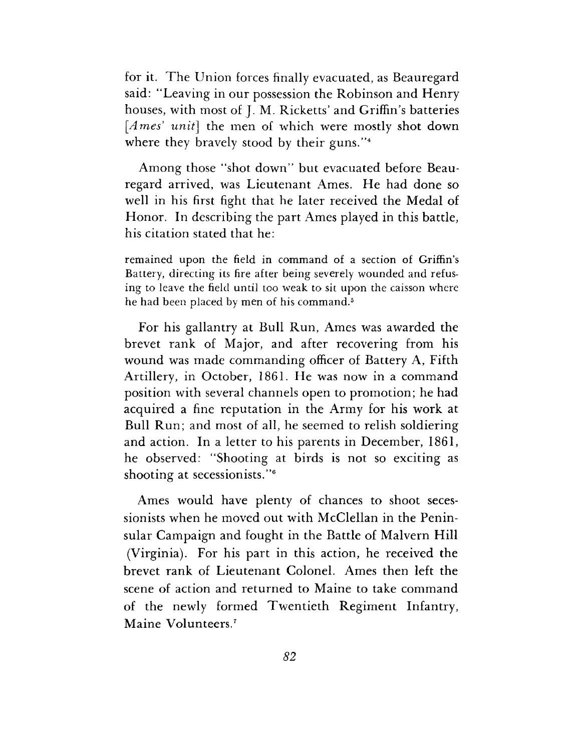for it. The Union forces finally evacuated, as Beauregard said: "Leaving in our possession the Robinson and Henry houses, with most of J. M. Ricketts' and Griffin'<sup>s</sup> batteries *[Ames' unit]* the men of which were mostly shot down where they bravely stood by their guns."<sup>4</sup>

Among those "shot down" but evacuated before Beauregard arrived, was Lieutenant Ames. He had done so well in his first fight that he later received the Medal of Honor. In describing the part Ames played in this battle, his citation stated that he:

remained upon the field in command of a section of Griffin'<sup>s</sup> Battery, directing its fire after being severely wounded and refusing to leave the field until too weak to sit upon the caisson where he had been placed by men of his command.<sup>5</sup>

For his gallantry at Bull Run, Ames was awarded the brevet rank of Major, and after recovering from his wound was made commanding officer of Battery A, Fifth Artillery, in October, 1861. He was now in a command position with several channels open to promotion; he had acquired a fine reputation in the Army for his work at Bull Run; and most of all, he seemed to relish soldiering and action. In a letter to his parents in December, 1861, he observed: "Shooting at birds is not so exciting as shooting at secessionists."<sup>6</sup>

Ames would have plenty of chances to shoot secessionists when he moved out with McClellan in the Peninsular Campaign and fought in the Battle of Malvern Hill (Virginia). For his part in this action, he received the brevet rank of Lieutenant Colonel. Ames then left the scene of action and returned to Maine to take command of the newly formed Twentieth Regiment Infantry, Maine Volunteers.<sup>7</sup>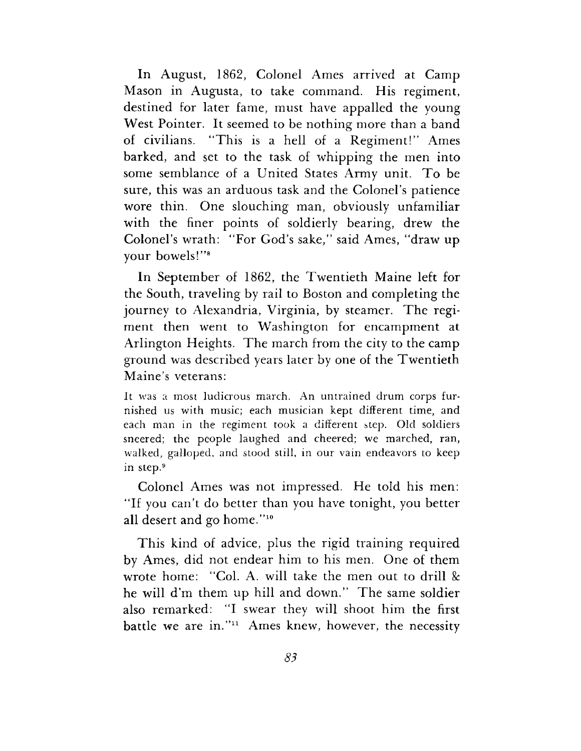In August, 1862, Colonel Ames arrived at Camp Mason in Augusta, to take command. His regiment, destined for later fame, must have appalled the young West Pointer. It seemed to be nothing more than a band of civilians. "This is a hell of a Regiment!" Ames barked, and set to the task of whipping the men into some semblance of a United States Army unit. To be sure, this was an arduous task and the Colonel'<sup>s</sup> patience wore thin. One slouching man, obviously unfamiliar with the finer points of soldierly bearing, drew the Colonel'<sup>s</sup> wrath: "For God'<sup>s</sup> sake," said Ames, "draw up your bowels!"<sup>8</sup>

In September of 1862, the Twentieth Maine left for the South, traveling by rail to Boston and completing the journey to Alexandria, Virginia, by steamer. The regiment then went to Washington for encampment at Arlington Heights. The march from the city to the camp ground was described years later by one of the Twentieth Maine'<sup>s</sup> veterans:

It was a most ludicrous march. An untrained drum corps furnished us with music; each musician kept different time, and each man in the regiment took a different step. Old soldiers sneered; the people laughed and cheered; we marched, ran, walked, galloped, and stood still, in our vain endeavors to keep in step.<sup>9</sup>

Colonel Ames was not impressed. He told his men: "If you can't do better than you have tonight, you better all desert and go home."<sup>10</sup>

This kind of advice, plus the rigid training required by Ames, did not endear him to his men. One of them wrote home: "Col. A. will take the men out to drill & he will d'm them up hill and down." The same soldier also remarked: "I swear they will shoot him the first battle we are in."<sup>11</sup> Ames knew, however, the necessity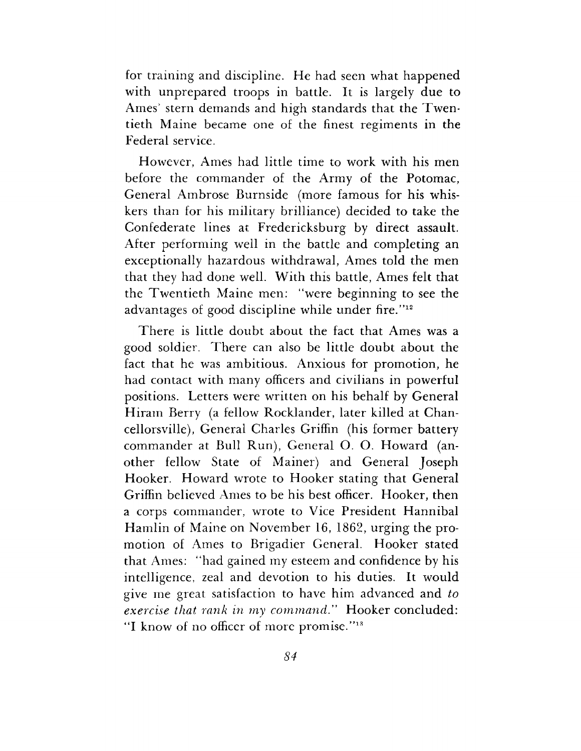for training and discipline. He had seen what happened with unprepared troops in battle. It is largely due to Ames' stern demands and high standards that the Twentieth Maine became one of the finest regiments in the Federal service.

However, Ames had little time to work with his men before the commander of the Army of the Potomac, General Ambrose Burnside (more famous for his whiskers than for his military brilliance) decided to take the Confederate lines at Fredericksburg by direct assault. After performing well in the battle and completing an exceptionally hazardous withdrawal, Ames told the men that they had done well. With this battle, Ames felt that the Twentieth Maine men: "were beginning to see the advantages of good discipline while under fire."<sup>12</sup>

There is little doubt about the fact that Ames was a good soldier. There can also be little doubt about the fact that he was ambitious. Anxious for promotion, he had contact with many officers and civilians in powerful positions. Letters were written on his behalf by General Hiram Berry (a fellow Rocklander, later killed at Chancellorsville), General Charles Griffin (his former battery commander at Bull Run), General O. O. Howard (another fellow State of Mainer) and General Joseph Hooker. Howard wrote to Hooker stating that General Griffin believed Ames to be his best officer. Hooker, then a corps commander, wrote to Vice President Hannibal Hamlin of Maine on November 16, 1862, urging the promotion of Ames to Brigadier General. Hooker stated that Ames: "had gained my esteem and confidence by his intelligence, zeal and devotion to his duties. It would give me great satisfaction to have him advanced and *to exercise that rank in my command"* Hooker concluded: "I know of no officer of more promise."<sup>13</sup>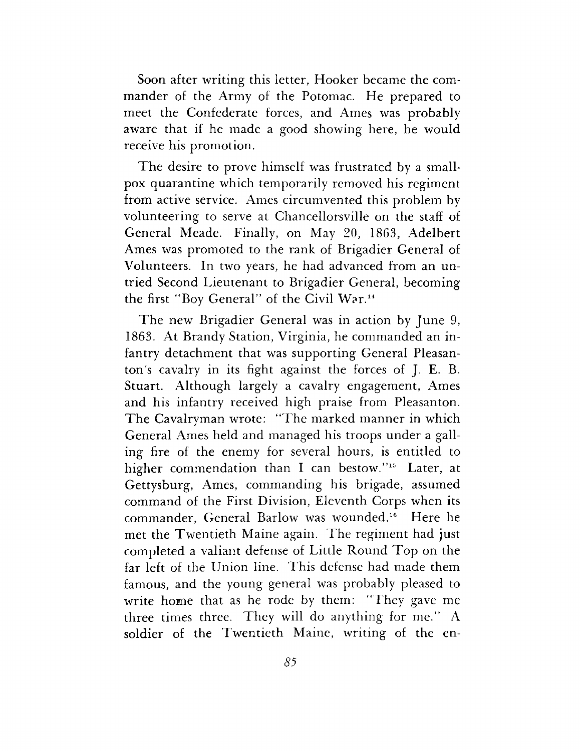Soon after writing this letter, Hooker became the commander of the Army of the Potomac. He prepared to meet the Confederate forces, and Ames was probably aware that if he made a good showing here, he would receive his promotion.

The desire to prove himself was frustrated by a smallpox quarantine which temporarily removed his regiment from active service. Ames circumvented this problem by volunteering to serve at Chancellorsville on the staff of General Meade. Finally, on May 20, 1863, Adelbert Ames was promoted to the rank of Brigadier General of Volunteers. In two years, he had advanced from an untried Second Lieutenant to Brigadier General, becoming the first "Boy General" of the Civil War.<sup>14</sup>

The new Brigadier General was in action by June 9, 1863. At Brandy Station, Virginia, he commanded an infantry detachment that was supporting General Pleasanton's cavalry in its fight against the forces of J. E. B. Stuart. Although largely a cavalry engagement, Ames and his infantry received high praise from Pleasanton. The Cavalryman wrote: "The marked manner in which General Ames held and managed his troops under a galling fire of the enemy for several hours, is entitled to higher commendation than I can bestow."<sup>15</sup> Later, at Gettysburg, Ames, commanding his brigade, assumed command of the First Division, Eleventh Corps when its commander, General Barlow was wounded.<sup>16</sup> Here he met the Twentieth Maine again. The regiment had just completed a valiant defense of Little Round Top on the far left of the Union line. This defense had made them famous, and the young general was probably pleased to write home that as he rode by them: "They gave me three times three. They will do anything for me." A soldier of the Twentieth Maine, writing of the en-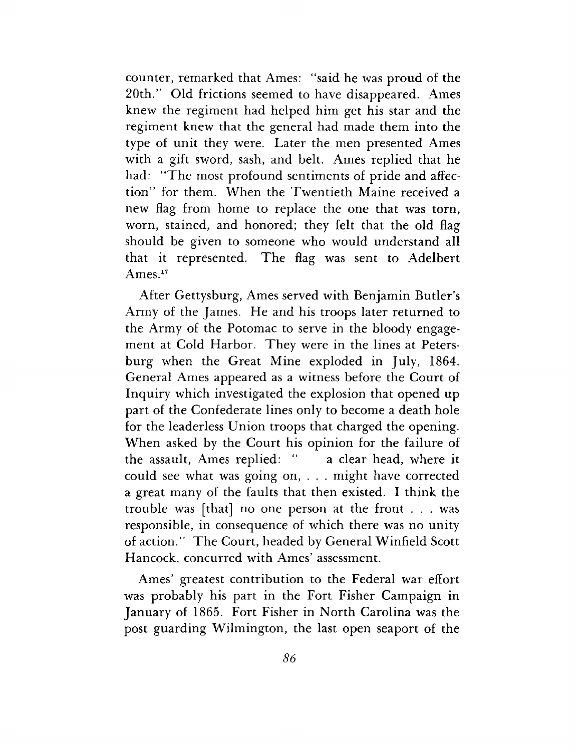counter, remarked that Ames: ''said he was proud of the 20th." Old frictions seemed to have disappeared. Ames knew the regiment had helped him get his star and the regiment knew that the general had made them into the type of unit they were. Later the men presented Ames with a gift sword, sash, and belt. Ames replied that he had: ''The most profound sentiments of pride and affection" for them. When the Twentieth Maine received a new flag from home to replace the one that was torn, worn, stained, and honored; they felt that the old flag should be given to someone who would understand all that it represented. The flag was sent to Adelbert Ames.<sup>17</sup>

After Gettysburg, Ames served with Benjamin Butler'<sup>s</sup> Army of the James. He and his troops later returned to the Army of the Potomac to serve in the bloody engagement at Cold Harbor. They were in the lines at Petersburg when the Great Mine exploded in July, 1864. General Ames appeared as a witness before the Court of Inquiry which investigated the explosion that opened up part of the Confederate lines only to become a death hole for the leaderless Union troops that charged the opening. When asked by the Court his opinion for the failure of the assault, Ames replied: " a clear head, where it could see what was going on, . . . might have corrected a great many of the faults that then existed. I think the trouble was [that] no one person at the front . . . was responsible, in consequence of which there was no unity of action." The Court, headed by General Winfield Scott Hancock, concurred with Ames' assessment.

Ames' greatest contribution to the Federal war effort was probably his part in the Fort Fisher Campaign in January of 1865. Fort Fisher in North Carolina was the post guarding Wilmington, the last open seaport of the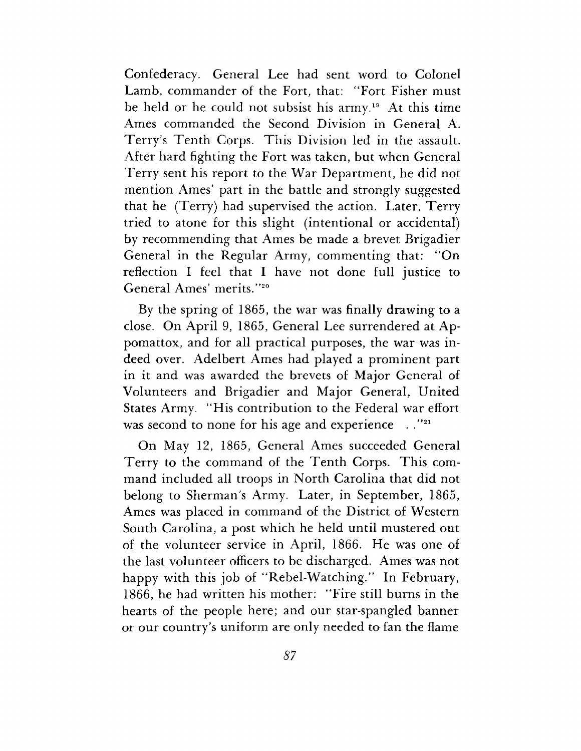Confederacy. General Lee had sent word to Colonel Lamb, commander of the Fort, that: "Fort Fisher must be held or he could not subsist his army.<sup>19</sup> At this time Ames commanded the Second Division in General A. Terry'<sup>s</sup> Tenth Corps. This Division led in the assault. After hard fighting the Fort was taken, but when General Terry sent his report to the War Department, he did not mention Ames' part in the battle and strongly suggested that he (Terry) had supervised the action. Later, Terry tried to atone for this slight (intentional or accidental) by recommending that Ames be made a brevet Brigadier General in the Regular Army, commenting that: "On reflection I feel that I have not done full justice to General Ames' merits.''<sup>20</sup>

By the spring of 1865, the war was finally drawing to a close. On April 9, 1865, General Lee surrendered at Appomattox, and for all practical purposes, the war was indeed over. Adelbert Ames had played a prominent part in it and was awarded the brevets of Major General of Volunteers and Brigadier and Major General, United States Army. "His contribution to the Federal war effort was second to none for his age and experience . . "21

On May 12, 1865, General Ames succeeded General Terry to the command of the Tenth Corps. This command included all troops in North Carolina that did not belong to Sherman'<sup>s</sup> Army. Later, in September, 1865, Ames was placed in command of the District of Western South Carolina, a post which he held until mustered out of the volunteer service in April, 1866. He was one of the last volunteer officers to be discharged. Ames was not happy with this job of "Rebel-Watching." In February, 1866, he had written his mother: "Fire still burns in the hearts of the people here; and our star-spangled banner or our country'<sup>s</sup> uniform are only needed to fan the flame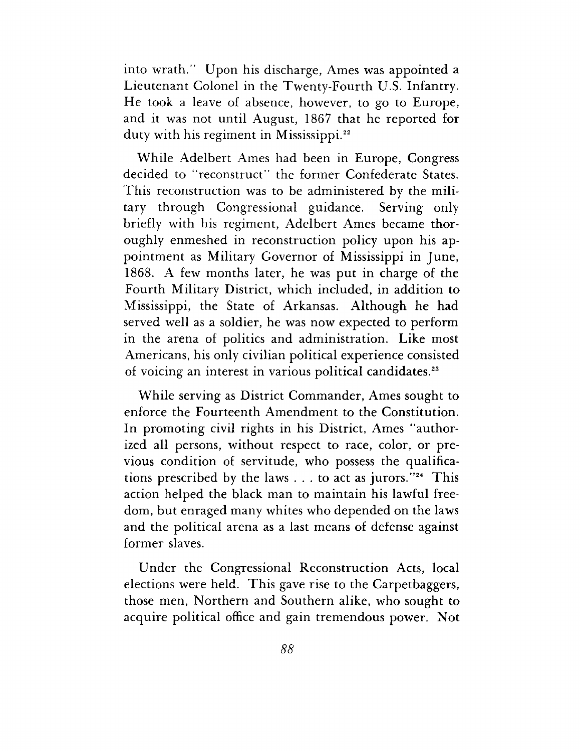into wrath." Upon his discharge, Ames was appointed a Lieutenant Colonel in the Twenty-Fourth U.S. Infantry. He took a leave of absence, however, to go to Europe, and it was not until August, 1867 that he reported for duty with his regiment in Mississippi.<sup>22</sup>

While Adelbert Ames had been in Europe, Congress decided to ''reconstruct" the former Confederate States. This reconstruction was to be administered by the military through Congressional guidance. Serving only briefly with his regiment, Adelbert Ames became thoroughly enmeshed in reconstruction policy upon his appointment as Military Governor of Mississippi in June, 1868. A few months later, he was put in charge of the Fourth Military District, which included, in addition to Mississippi, the State of Arkansas. Although he had served well as a soldier, he was now expected to perform in the arena of politics and administration. Like most Americans, his only civilian political experience consisted of voicing an interest in various political candidates.<sup>23</sup>

While serving as District Commander, Ames sought to enforce the Fourteenth Amendment to the Constitution. In promoting civil rights in his District, Ames "authorized all persons, without respect to race, color, or previous condition of servitude, who possess the qualifications prescribed by the laws  $\dots$  to act as jurors."<sup>24</sup> This action helped the black man to maintain his lawful freedom, but enraged many whites who depended on the laws and the political arena as a last means of defense against former slaves.

Under the Congressional Reconstruction Acts, local elections were held. This gave rise to the Carpetbaggers, those men, Northern and Southern alike, who sought to acquire political office and gain tremendous power. Not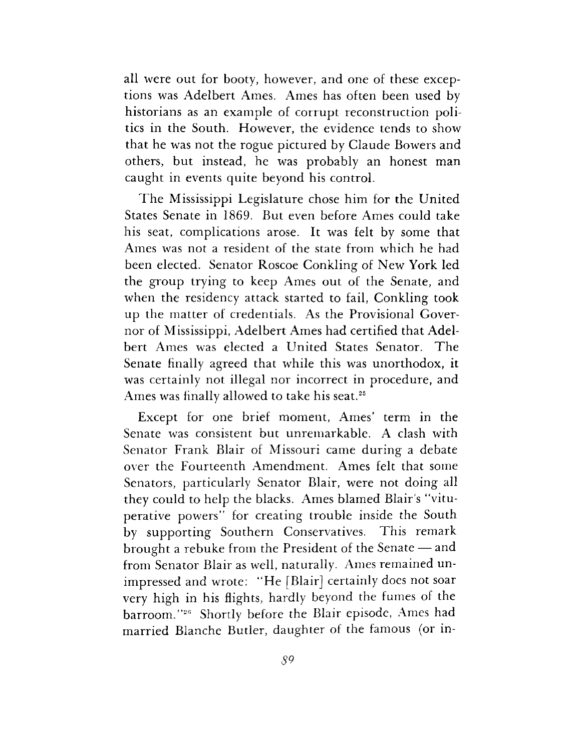all were out for booty, however, and one of these exceptions was Adelbert Ames. Ames has often been used by historians as an example of corrupt reconstruction politics in the South. However, the evidence tends to show that he was not the rogue pictured by Claude Bowers and others, but instead, he was probably an honest man caught in events quite beyond his control.

The Mississippi Legislature chose him for the United States Senate in 1869. But even before Ames could take his seat, complications arose. It was felt by some that Ames was not a resident of the state from which he had been elected. Senator Roscoe Conkling of New York led the group trying to keep Ames out of the Senate, and when the residency attack started to fail, Conkling took up the matter of credentials. As the Provisional Governor of Mississippi, Adelbert Ames had certified that Adelbert Ames was elected a United States Senator. The Senate finally agreed that while this was unorthodox, it was certainly not illegal nor incorrect in procedure, and Ames was finally allowed to take his seat.<sup>25</sup>

Except for one brief moment, Ames' term in the Senate was consistent but unremarkable. A clash with Senator Frank Blair of Missouri came during a debate over the Fourteenth Amendment. Ames felt that some Senators, particularly Senator Blair, were not doing all they could to help the blacks. Ames blamed Blair'<sup>s</sup> "vituperative powers" for creating trouble inside the South by supporting Southern Conservatives. This remark brought a rebuke from the President of the Senate — and from Senator Blair as well, naturally. Ames remained unimpressed and wrote: "He [Blair] certainly does not soar very high in his flights, hardly beyond the fumes of the barroom."<sup>26</sup> Shortly before the Blair episode, Ames had married Blanche Butler, daughter of the famous (or in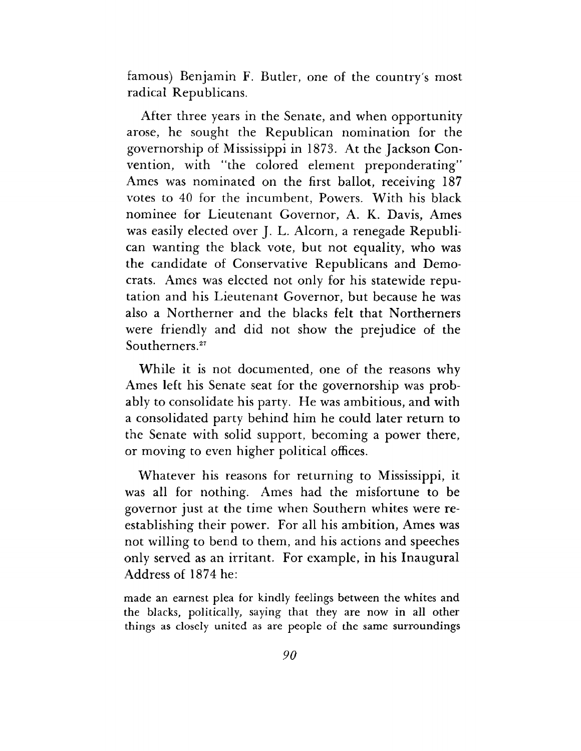famous) Benjamin F. Butler, one of the country's most radical Republicans.

After three years in the Senate, and when opportunity arose, he sought the Republican nomination for the governorship of Mississippi in 1873. At the Jackson Convention, with "the colored element preponderating" Ames was nominated on the first ballot, receiving 187 votes to 40 for the incumbent, Powers. With his black nominee for Lieutenant Governor, A. K. Davis, Ames was easily elected over J. L. Alcorn, a renegade Republican wanting the black vote, but not equality, who was the candidate of Conservative Republicans and Democrats. Ames was elected not only for his statewide reputation and his Lieutenant Governor, but because he was also a Northerner and the blacks felt that Northerners were friendly and did not show the prejudice of the Southerners.<sup>27</sup>

While it is not documented, one of the reasons why Ames left his Senate seat for the governorship was probably to consolidate his party. He was ambitious, and with a consolidated party behind him he could later return to the Senate with solid support, becoming a power there, or moving to even higher political offices.

Whatever his reasons for returning to Mississippi, it was all for nothing. Ames had the misfortune to be governor just at the time when Southern whites were reestablishing their power. For all his ambition, Ames was not willing to bend to them, and his actions and speeches only served as an irritant. For example, in his Inaugural Address of 1874 he:

made an earnest plea for kindly feelings between the whites and the blacks, politically, saying that they are now in all other things as closely united as are people of the same surroundings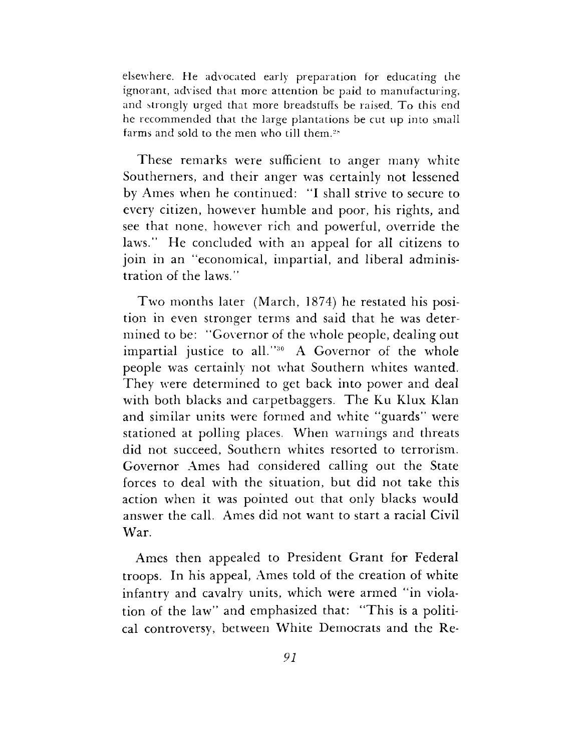elsewhere. He advocated early preparation for educating Lhe ignorant, advised that more attention be paid to manufacturing, and strongly urged that more breadstuffs be raised. To this end he recommended that the large plantations be cut up into small farms and sold to the men who till them?\*

These remarks were sufficient to anger many white Southerners, and their anger was certainly not lessened by Ames when he continued: "I shall strive to secure to every citizen, however humble and poor, his rights, and see that none, however rich and powerful, override the laws." He concluded with an appeal for all citizens to join in an "economical, impartial, and liberal administration of the laws."

Two months later (March, 1874) he restated his position in even stronger terms and said that he was determined to be: "Governor of the whole people, dealing out impartial justice to all."<sup>30</sup> A Governor of the whole people was certainly not what Southern whites wanted. They were determined to get back into power and deal with both blacks and carpetbaggers. The Ku Klux Klan and similar units were formed and white "guards" were stationed at polling places. When warnings and threats did not succeed, Southern whites resorted to terrorism. Governor Ames had considered calling out the State forces to deal with the situation, but did not take this action when it was pointed out that only blacks would answer the call. Ames did not want to start a racial Civil War.

Ames then appealed to President Grant for Federal troops. In his appeal, Ames told of the creation of white infantry and cavalry units, which were armed "in violation of the law" and emphasized that: "This is a political controversy, between White Democrats and the Re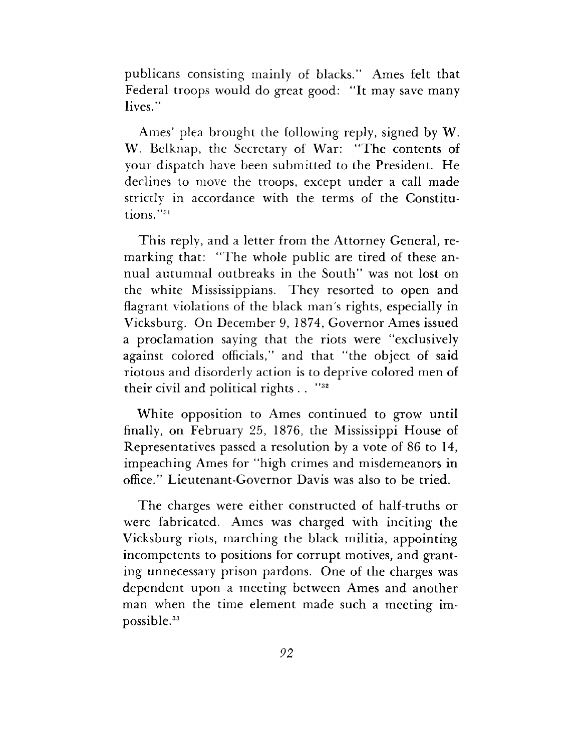publicans consisting mainly of blacks." Ames felt that Federal troops would do great good: "It may save many lives."

Ames' plea brought the following reply, signed by W. W. Belknap, the Secretary of War: "The contents of your dispatch have been submitted to the President. He declines to move the troops, except under a call made strictly in accordance with the terms of the Constitutions."<sup>31</sup>

This reply, and a letter from the Attorney General, remarking that: "The whole public are tired of these annual autumnal outbreaks in the South" was not lost on the white Mississippians. They resorted to open and flagrant violations of the black man'<sup>s</sup> rights, especially in Vicksburg. On December 9, 1874, Governor Ames issued a proclamation saying that the riots were "exclusively against colored officials," and that "the object of said riotous and disorderly action is to deprive colored men of their civil and political rights  $\ldots$  "32

White opposition to Ames continued to grow until finally, on February 25, 1876, the Mississippi House of Representatives passed a resolution by a vote of 86 to 14, impeaching Ames for "high crimes and misdemeanors in office." Lieutenant-Governor Davis was also to be tried.

The charges were either constructed of half-truths or were fabricated. Ames was charged with inciting the Vicksburg riots, marching the black militia, appointing incompetents to positions for corrupt motives, and granting unnecessary prison pardons. One of the charges was dependent upon a meeting between Ames and another man when the time element made such a meeting impossible.<sup>33</sup>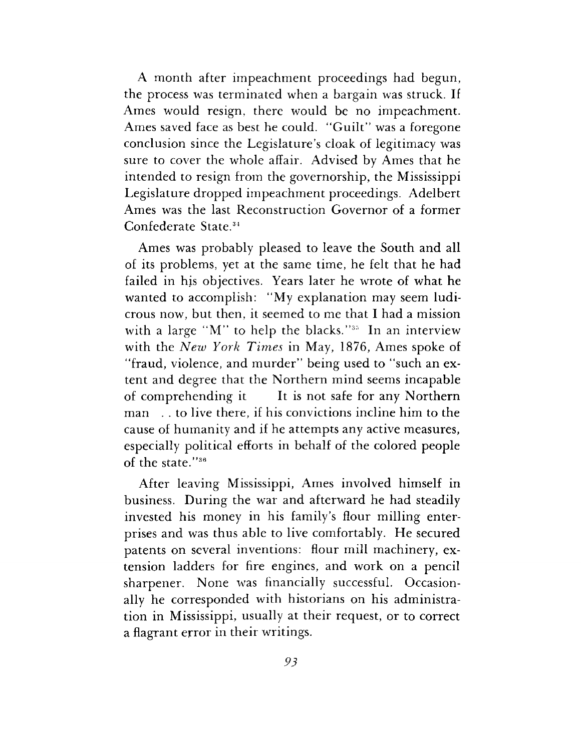A month after impeachment proceedings had begun, the process was terminated when a bargain was struck. If Ames would resign, there would be no impeachment. Ames saved face as best he could. "Guilt" was a foregone conclusion since the Legislature'<sup>s</sup> cloak of legitimacy was sure to cover the whole affair. Advised by Ames that he intended to resign from the governorship, the Mississippi Legislature dropped impeachment proceedings. Adelbert Ames was the last Reconstruction Governor of a former Confederate State.<sup>34</sup>

Ames was probably pleased to leave the South and all of its problems, yet at the same time, he felt that he had failed in his objectives. Years later he wrote of what he wanted to accomplish: "My explanation may seem ludicrous now, but then, it seemed to me that I had a mission with a large "M" to help the blacks."<sup>35</sup> In an interview with the *New York Times* in May, 1876, Ames spoke of "fraud, violence, and murder" being used to "such an extent and degree that the Northern mind seems incapable of comprehending it It is not safe for any Northern man . . to live there, if his convictions incline him to the cause of humanity and if he attempts any active measures, especially political efforts in behalf of the colored people of the state."<sup>36</sup>

After leaving Mississippi, Ames involved himself in business. During the war and afterward he had steadily invested his money in his family'<sup>s</sup> flour milling enterprises and was thus able to live comfortably. He secured patents on several inventions: flour mill machinery, extension ladders for fire engines, and work on a pencil sharpener. None was financially successful. Occasionally he corresponded with historians on his administration in Mississippi, usually at their request, or to correct a flagrant error in their writings.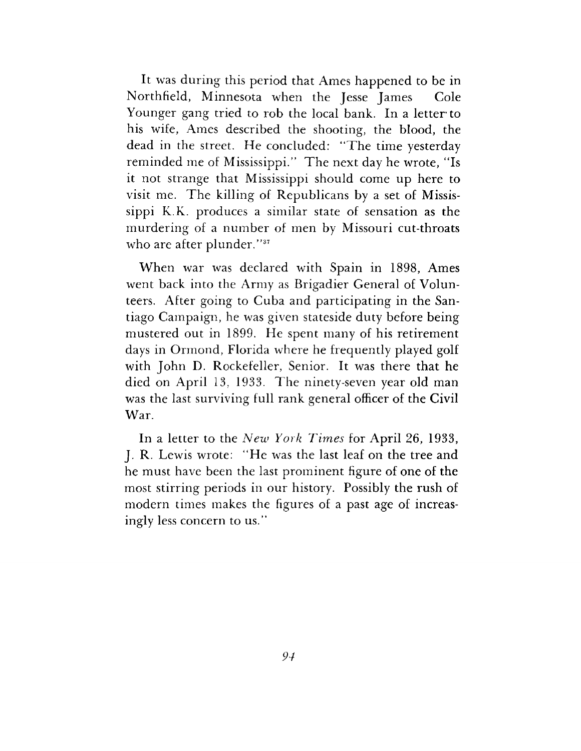It was during this period that Ames happened to be in Northfield, Minnesota when the Jesse James Cole Younger gang tried to rob the local bank. In a letter to his wife, Ames described the shooting, the blood, the dead in the street. He concluded: "The time yesterday reminded me of Mississippi." The next day he wrote, "Is it not strange that Mississippi should come up here to visit me. The killing of Republicans by a set of Mississippi K.K. produces a similar state of sensation as the murdering of a number of men by Missouri cut-throats who are after plunder."<sup>37</sup>

When war was declared with Spain in 1898, Ames went back into the Army as Brigadier General of Volunteers. After going to Cuba and participating in the Santiago Campaign, he was given stateside duty before being mustered out in 1899. He spent many of his retirement days in Ormond, Florida where he frequently played golf with John D. Rockefeller, Senior. It was there that he died on April 13, 1933. The ninety-seven year old man was the last surviving full rank general officer of the Civil War.

In a letter to the *New York Times* for April 26, 1933, J. R. Lewis wrote: "He was the last leaf on the tree and he must have been the last prominent figure of one of the most stirring periods in our history. Possibly the rush of modern times makes the figures of a past age of increasingly less concern to us."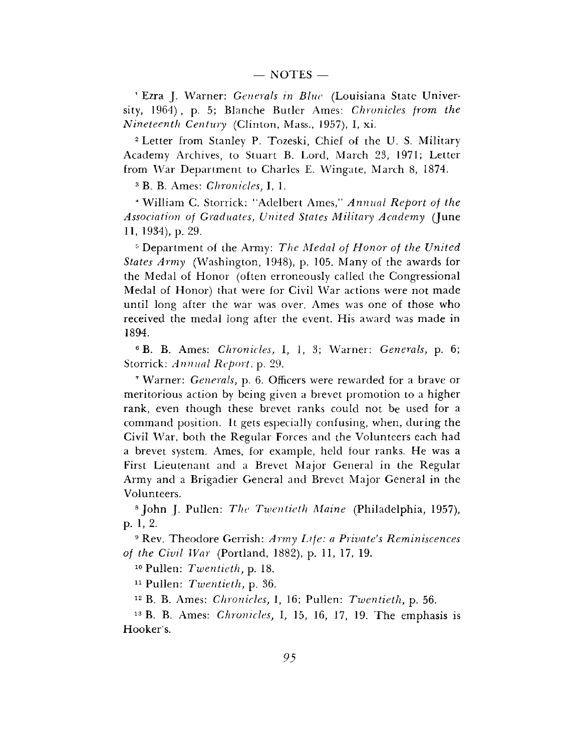<sup>1</sup> Ezra J. Warner: *Generals in Blue* (Louisiana State University, 1964) , p. 5; Blanche Butler Ames: *Chronicles from the Nineteenth Century* (Clinton, Mass., 1957), I, xi.

<sup>2</sup> Letter from Stanley P. Tozeski, Chief of the U. S. Military Academy Archives, to Stuart B. Lord, March 23, 1971; Letter from War Department to Charles E. Wingate, March 8, 1874.

<sup>3</sup> B. B. Ames: *Chronicles,* I, 1.

" William C. Storrick: "Adelbert Ames," *Annual Report of the Association of Graduates, United States Military Academy* (June 11, 1934), p. 29.

<sup>5</sup> Department of the Army: *The Medal of Honor of the United States Army* (Washington, 1948), p. 105. Many of the awards for the Medal of Honor (often erroneously called the Congressional Medal of Honor) that were for Civil War actions were not made until long after the war was over. Ames was one of those who received the medal long after the event. His award was made in 1894.

<sup>6</sup> B. B. Ames: *Chronicles,* I, 1, 3; Warner: *Generals,* p. 6; Storrick: *Annual Report,* p. 29.

<sup>7</sup> Warner: *Generals,* p. 6. Officers were rewarded for a brave or meritorious action by being given a brevet promotion to a higher rank, even though these brevet ranks could not be used for a command position. It gets especially confusing, when, during the Civil War, both the Regular Forces and the Volunteers each had a brevet system. Ames, for example, held four ranks. He was a First Lieutenant and a Brevet Major General in the Regular Army and a Brigadier General and Brevet Major General in the Volunteers.

<sup>8</sup> John J. Pullen: *The Twentieth Maine* (Philadelphia, 1957), p. 1, 2.

<sup>9</sup> Rev. Theodore Gerrish: *Army Life: a Private's Reminiscences of the Civil War* (Portland, 1882), p. 11, 17, 19.

<sup>10</sup> Pullen: *Twentieth, p.* 18.

<sup>11</sup> Pullen: *Twentieth,* p. 36.

<sup>12</sup> B. B. Ames: *Chronicles,* I, 16; Pullen: *Twentieth,* p. 56.

<sup>13</sup> B. B. Ames: *Chronicles,* I, 15, 16, 17, 19. The emphasis is Hooker's.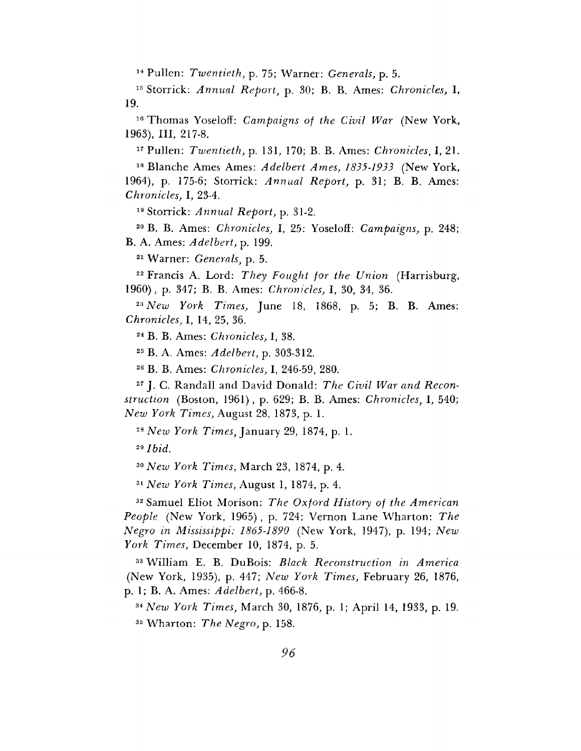Pullen: *Twentieth,* p. 75; Warner: *Generals,* p. 5.

 Storrick: *Annual Report,* p. 30; B. B. Ames: *Chronicles,* I, 19.

 Thomas Yoseloff: *Campaigns of the Civil War* (New York, 1963), III, 217-8.

Pullen: *Twentieth,* p. 131, 170; B. B. Ames: *Chronicles,* I, 21.

 Blanche Ames Ames: *Adelbert Ames, 1835-1933* (New York, 1964), p. 175-6; Storrick: *Annual Report,* p. 31; B. B. Ames: *Chronicles,* I, 23-4.

Storrick: *Annual Report,* p. 31-2.

 B. B. Ames: *Chronicles,* I, 25: Yoseloff: *Campaigns,* p. 248; B. A. Ames: *Adelbert,* p. 199.

Warner: *Generals,* p. 5.

 Francis A. Lord: *They Fought for the Union* (Harrisburg, 1960), p. 347; B. B. Ames: *Chronicles,* I, 30, 34, 36.

 *New York Times,* June 18, 1868, p. 5; B. B. Ames: *Chronicles,* I, 14, 25, 36.

B. B. Ames: *Chronicles,* I, 38.

B. A. Ames: *Adelbert,* p. 303-312.

B. B. Ames: *Chronicles,* I, 246-59, 280.

 J. C. Randall and David Donald: *The Civil War and Reconstruction* (Boston, 1961), p. 629; B. B. Ames: *Chronicles,* I, 540; *New York Times,* August 28, 1873, p. 1.

*New York Times,* January 29, 1874, p. 1.

*Ibid.*

*New York Times,* March 23, 1874, p. 4.

*New York Times,* August 1, 1874, p. 4.

 Samuel Eliot Morison: *The Oxford History of the American People* (New York, 1965) , p. 724; Vernon Lane Wharton: *The Negro in Mississippi: 1865-1890* (New York, 1947), p. 194; *New York Times,* December 10, 1874, p. 5.

 William E. B. DuBois: *Black Reconstruction in America* (New York, 1935), p. 447; *New York Times,* February 26, 1876, p. 1; B. A. Ames: *Adelbert,* p. 466-8.

*\*New York Times,* March 30, 1876, p. 1; April 14, 1933, p. 19. Wharton: *The Negro,* p. 158.